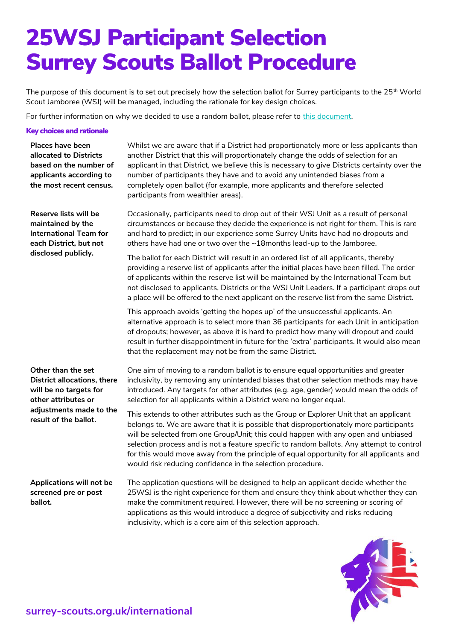## 25WSJ Participant Selection Surrey Scouts Ballot Procedure

The purpose of this document is to set out precisely how the selection ballot for Surrey participants to the  $25<sup>th</sup>$  World Scout Jamboree (WSJ) will be managed, including the rationale for key design choices.

For further information on why we decided to use a random ballot, please refer to [this document.](https://www.surrey-scouts.org.uk/wp-content/uploads/25WSJ-Surrey-Scouts-Participant-Selection-Process-website-FINAL.pdf)

## Key choices and rationale

**Places have been allocated to Districts based on the number of applicants according to the most recent census.**

Whilst we are aware that if a District had proportionately more or less applicants than another District that this will proportionately change the odds of selection for an applicant in that District, we believe this is necessary to give Districts certainty over the number of participants they have and to avoid any unintended biases from a completely open ballot (for example, more applicants and therefore selected participants from wealthier areas).

**Reserve lists will be maintained by the International Team for each District, but not disclosed publicly.** 

Occasionally, participants need to drop out of their WSJ Unit as a result of personal circumstances or because they decide the experience is not right for them. This is rare and hard to predict; in our experience some Surrey Units have had no dropouts and others have had one or two over the ~18months lead-up to the Jamboree.

The ballot for each District will result in an ordered list of all applicants, thereby providing a reserve list of applicants after the initial places have been filled. The order of applicants within the reserve list will be maintained by the International Team but not disclosed to applicants, Districts or the WSJ Unit Leaders. If a participant drops out a place will be offered to the next applicant on the reserve list from the same District.

This approach avoids 'getting the hopes up' of the unsuccessful applicants. An alternative approach is to select more than 36 participants for each Unit in anticipation of dropouts; however, as above it is hard to predict how many will dropout and could result in further disappointment in future for the 'extra' participants. It would also mean that the replacement may not be from the same District.

| Other than the set<br>District allocations, there<br>will be no targets for<br>other attributes or<br>adjustments made to the<br>result of the ballot. | One aim of moving to a random ballot is to ensure equal opportunities and greater<br>inclusivity, by removing any unintended biases that other selection methods may have<br>introduced. Any targets for other attributes (e.g. age, gender) would mean the odds of<br>selection for all applicants within a District were no longer equal.                                                                                                                                                                                 |
|--------------------------------------------------------------------------------------------------------------------------------------------------------|-----------------------------------------------------------------------------------------------------------------------------------------------------------------------------------------------------------------------------------------------------------------------------------------------------------------------------------------------------------------------------------------------------------------------------------------------------------------------------------------------------------------------------|
|                                                                                                                                                        | This extends to other attributes such as the Group or Explorer Unit that an applicant<br>belongs to. We are aware that it is possible that disproportionately more participants<br>will be selected from one Group/Unit; this could happen with any open and unbiased<br>selection process and is not a feature specific to random ballots. Any attempt to control<br>for this would move away from the principle of equal opportunity for all applicants and<br>would risk reducing confidence in the selection procedure. |
| Applications will not be<br>screened pre or post<br>ballot.                                                                                            | The application questions will be designed to help an applicant decide whether the<br>25WSJ is the right experience for them and ensure they think about whether they can<br>make the commitment required. However, there will be no screening or scoring of                                                                                                                                                                                                                                                                |

inclusivity, which is a core aim of this selection approach.

applications as this would introduce a degree of subjectivity and risks reducing